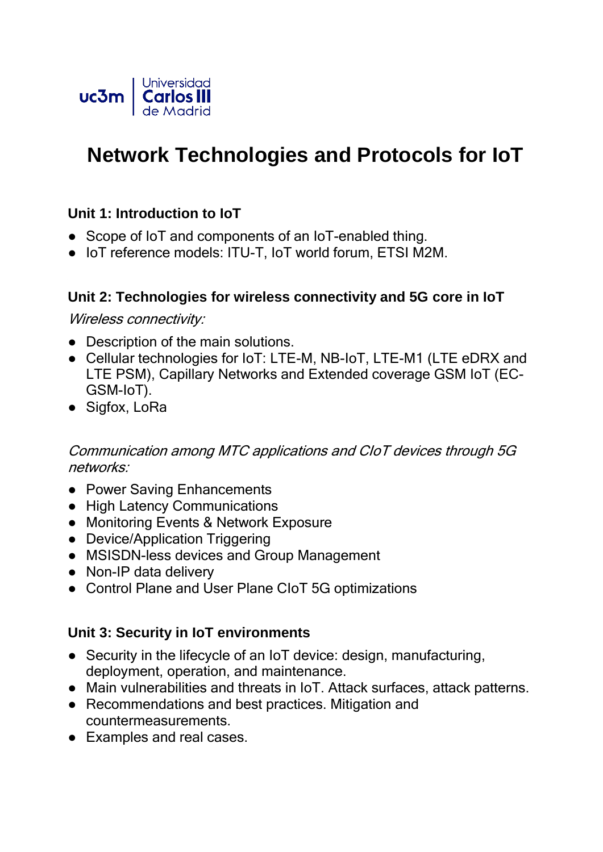

# **Network Technologies and Protocols for IoT**

### **Unit 1: Introduction to IoT**

- Scope of IoT and components of an IoT-enabled thing.
- IoT reference models: ITU-T, IoT world forum, ETSI M2M.

#### **Unit 2: Technologies for wireless connectivity and 5G core in IoT**

Wireless connectivity:

- Description of the main solutions.
- Cellular technologies for IoT: LTE-M, NB-IoT, LTE-M1 (LTE eDRX and LTE PSM), Capillary Networks and Extended coverage GSM IoT (EC-GSM-IoT).
- Sigfox, LoRa

#### Communication among MTC applications and CIoT devices through 5G networks:

- Power Saving Enhancements
- High Latency Communications
- Monitoring Events & Network Exposure
- Device/Application Triggering
- MSISDN-less devices and Group Management
- Non-IP data delivery
- Control Plane and User Plane CIoT 5G optimizations

#### **Unit 3: Security in IoT environments**

- Security in the lifecycle of an IoT device: design, manufacturing, deployment, operation, and maintenance.
- Main vulnerabilities and threats in IoT. Attack surfaces, attack patterns.
- Recommendations and best practices. Mitigation and countermeasurements.
- Examples and real cases.